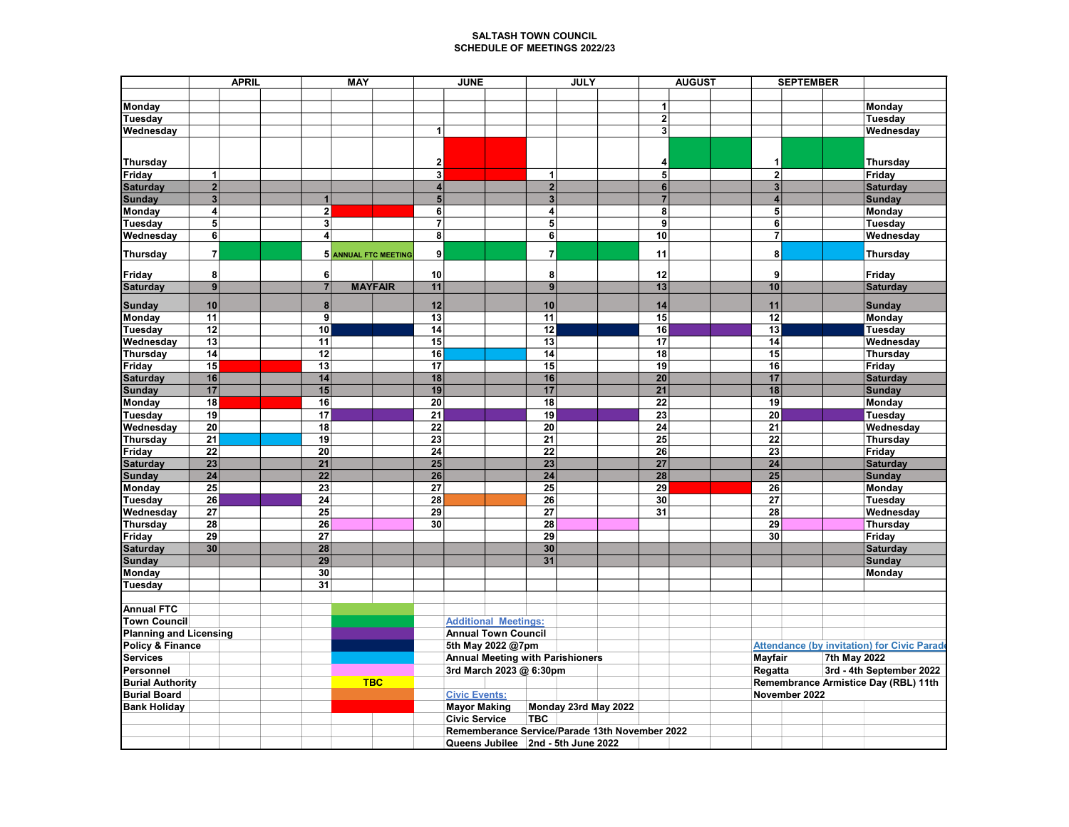## SALTASH TOWN COUNCIL SCHEDULE OF MEETINGS 2022/23

|                               | <b>APRIL</b>                              |  | <b>MAY</b>              |                      |                                         | <b>JUNE</b>                                    |                | <b>JULY</b>          |  |                     | <b>AUGUST</b> |         |                                                    | <b>SEPTEMBER</b>                     |                                                    |  |
|-------------------------------|-------------------------------------------|--|-------------------------|----------------------|-----------------------------------------|------------------------------------------------|----------------|----------------------|--|---------------------|---------------|---------|----------------------------------------------------|--------------------------------------|----------------------------------------------------|--|
|                               |                                           |  |                         |                      |                                         |                                                |                |                      |  |                     |               |         |                                                    |                                      |                                                    |  |
| Monday                        |                                           |  |                         |                      |                                         |                                                |                |                      |  | 1                   |               |         |                                                    |                                      | Monday                                             |  |
| Tuesday                       |                                           |  |                         |                      |                                         |                                                |                |                      |  | $\overline{2}$      |               |         |                                                    |                                      | Tuesday                                            |  |
| Wednesday                     |                                           |  |                         |                      | 1                                       |                                                |                |                      |  | 3 <sup>1</sup>      |               |         |                                                    |                                      | Wednesday                                          |  |
|                               |                                           |  |                         |                      |                                         |                                                |                |                      |  |                     |               |         |                                                    |                                      |                                                    |  |
|                               |                                           |  |                         |                      |                                         |                                                |                |                      |  |                     |               |         |                                                    |                                      |                                                    |  |
| <b>Thursday</b>               | 1                                         |  |                         |                      | $\mathbf{2}$<br>$\overline{\mathbf{3}}$ |                                                | 1              |                      |  | 4<br>$\overline{5}$ |               |         | 1                                                  |                                      | Thursday                                           |  |
| Friday                        |                                           |  |                         |                      | $\overline{\mathbf{4}}$                 |                                                | $\overline{2}$ |                      |  | 6                   |               |         | $\overline{\mathbf{2}}$<br>$\overline{\mathbf{3}}$ |                                      | Friday                                             |  |
| <b>Saturday</b>               | $\overline{\mathbf{2}}$<br>$\overline{3}$ |  | $\mathbf{1}$            |                      | 5 <sup>5</sup>                          |                                                | 3 <sup>1</sup> |                      |  | $\overline{7}$      |               |         | 4                                                  |                                      | <b>Saturday</b>                                    |  |
| <b>Sunday</b>                 | 4                                         |  |                         |                      | 6                                       |                                                | 4              |                      |  | $\overline{8}$      |               |         | $\overline{\mathbf{5}}$                            |                                      | <b>Sunday</b>                                      |  |
| Monday                        | $\overline{\mathbf{5}}$                   |  | $\overline{2}$<br>3     |                      | $\overline{7}$                          |                                                | 5              |                      |  | 9                   |               |         |                                                    |                                      | Monday                                             |  |
| Tuesday                       | $\overline{6}$                            |  | $\overline{\mathbf{4}}$ |                      | 8                                       |                                                | 6              |                      |  | 10                  |               |         | 6<br>$\overline{7}$                                |                                      | <b>Tuesday</b>                                     |  |
| Wednesday                     |                                           |  |                         |                      |                                         |                                                |                |                      |  |                     |               |         |                                                    |                                      | Wednesday                                          |  |
| <b>Thursday</b>               | $\overline{\mathbf{7}}$                   |  |                         | 5 ANNUAL FTC MEETING | 9                                       |                                                | $\overline{7}$ |                      |  | 11                  |               |         | 8                                                  |                                      | Thursday                                           |  |
| Friday                        | 8                                         |  | 6                       |                      | 10                                      |                                                | 8              |                      |  | 12                  |               |         | 9                                                  |                                      | Friday                                             |  |
| <b>Saturday</b>               | 9                                         |  | $\overline{7}$          | <b>MAYFAIR</b>       | 11                                      |                                                | 9              |                      |  | 13                  |               |         | 10                                                 |                                      | <b>Saturday</b>                                    |  |
| <b>Sunday</b>                 | 10                                        |  | 8                       |                      | 12                                      |                                                | 10             |                      |  | 14                  |               |         | 11                                                 |                                      | <b>Sunday</b>                                      |  |
| Monday                        | 11                                        |  | 9                       |                      | 13                                      |                                                | 11             |                      |  | 15                  |               |         | 12                                                 |                                      | Monday                                             |  |
| Tuesday                       | 12                                        |  | 10                      |                      | 14                                      |                                                | 12             |                      |  | 16                  |               |         | 13                                                 |                                      | Tuesday                                            |  |
| Wednesday                     | 13                                        |  | 11                      |                      | 15                                      |                                                | 13             |                      |  | 17                  |               |         | 14                                                 |                                      | Wednesday                                          |  |
| <b>Thursday</b>               | 14                                        |  | 12                      |                      | 16                                      |                                                | 14             |                      |  | 18                  |               |         | 15                                                 |                                      | Thursday                                           |  |
| Friday                        | 15                                        |  | 13                      |                      | 17                                      |                                                | 15             |                      |  | 19                  |               |         | 16                                                 |                                      | Friday                                             |  |
| <b>Saturday</b>               | 16                                        |  | 14                      |                      | 18                                      |                                                | 16             |                      |  | 20                  |               |         | 17                                                 |                                      | <b>Saturday</b>                                    |  |
| <b>Sunday</b>                 | 17                                        |  | 15                      |                      | 19                                      |                                                | 17             |                      |  | 21                  |               |         | 18                                                 |                                      | <b>Sunday</b>                                      |  |
| Monday                        | 18                                        |  | 16                      |                      | 20                                      |                                                | 18             |                      |  | 22                  |               |         | 19                                                 |                                      | Monday                                             |  |
| Tuesday                       | 19                                        |  | 17                      |                      | 21                                      |                                                | 19             |                      |  | 23                  |               |         | 20                                                 |                                      | Tuesday                                            |  |
| Wednesday                     | 20                                        |  | 18                      |                      | 22                                      |                                                | 20             |                      |  | 24                  |               |         | 21                                                 |                                      | Wednesday                                          |  |
| <b>Thursday</b>               | 21                                        |  | 19                      |                      | 23                                      |                                                | 21             |                      |  | 25                  |               |         | 22                                                 |                                      | Thursday                                           |  |
| Friday                        | 22                                        |  | 20                      |                      | 24                                      |                                                | 22             |                      |  | 26                  |               |         | 23                                                 |                                      | Friday                                             |  |
| <b>Saturday</b>               | 23                                        |  | 21                      |                      | 25                                      |                                                | 23             |                      |  | 27                  |               |         | 24                                                 |                                      | <b>Saturday</b>                                    |  |
| <b>Sunday</b>                 | 24                                        |  | 22                      |                      | 26                                      |                                                | 24             |                      |  | 28                  |               |         | 25                                                 |                                      | <b>Sunday</b>                                      |  |
| Monday                        | 25                                        |  | 23                      |                      | 27                                      |                                                | 25             |                      |  | 29                  |               |         | 26                                                 |                                      | Monday                                             |  |
| Tuesday                       | $\overline{26}$                           |  | 24                      |                      | 28                                      |                                                | 26             |                      |  | 30                  |               |         | 27                                                 |                                      | Tuesday                                            |  |
| Wednesday                     | 27                                        |  | 25                      |                      | 29                                      |                                                | 27             |                      |  | 31                  |               |         | 28                                                 |                                      | Wednesday                                          |  |
| <b>Thursday</b>               | 28                                        |  | 26                      |                      | 30                                      |                                                | 28             |                      |  |                     |               |         | 29                                                 |                                      | <b>Thursday</b>                                    |  |
| Friday                        | 29                                        |  | 27                      |                      |                                         |                                                | 29             |                      |  |                     |               |         | 30                                                 |                                      | Friday                                             |  |
| <b>Saturday</b>               | 30                                        |  | 28                      |                      |                                         |                                                | 30             |                      |  |                     |               |         |                                                    |                                      | <b>Saturday</b>                                    |  |
| <b>Sunday</b>                 |                                           |  | 29                      |                      |                                         |                                                | 31             |                      |  |                     |               |         |                                                    |                                      | <b>Sunday</b>                                      |  |
| Monday                        |                                           |  | 30                      |                      |                                         |                                                |                |                      |  |                     |               |         |                                                    |                                      | Monday                                             |  |
| Tuesday                       |                                           |  | 31                      |                      |                                         |                                                |                |                      |  |                     |               |         |                                                    |                                      |                                                    |  |
| <b>Annual FTC</b>             |                                           |  |                         |                      |                                         |                                                |                |                      |  |                     |               |         |                                                    |                                      |                                                    |  |
| <b>Town Council</b>           |                                           |  |                         |                      |                                         | <b>Additional Meetings:</b>                    |                |                      |  |                     |               |         |                                                    |                                      |                                                    |  |
| <b>Planning and Licensing</b> |                                           |  |                         |                      |                                         | <b>Annual Town Council</b>                     |                |                      |  |                     |               |         |                                                    |                                      |                                                    |  |
| Policy & Finance              |                                           |  |                         |                      |                                         | 5th May 2022 @7pm                              |                |                      |  |                     |               |         |                                                    |                                      | <b>Attendance (by invitation) for Civic Parade</b> |  |
| <b>Services</b>               |                                           |  |                         |                      |                                         | <b>Annual Meeting with Parishioners</b>        |                |                      |  |                     |               | Mayfair |                                                    |                                      | 7th May 2022                                       |  |
| Personnel                     |                                           |  |                         |                      |                                         | 3rd March 2023 @ 6:30pm                        |                |                      |  |                     |               |         | Regatta                                            |                                      | 3rd - 4th September 2022                           |  |
|                               | <b>Burial Authority</b>                   |  | <b>TBC</b>              |                      |                                         |                                                |                |                      |  |                     |               |         |                                                    | Remembrance Armistice Day (RBL) 11th |                                                    |  |
| <b>Burial Board</b>           |                                           |  |                         |                      |                                         | <b>Civic Events:</b>                           |                |                      |  |                     |               |         |                                                    | November 2022                        |                                                    |  |
| <b>Bank Holiday</b>           |                                           |  |                         |                      |                                         | <b>Mayor Making</b>                            |                | Monday 23rd May 2022 |  |                     |               |         |                                                    |                                      |                                                    |  |
|                               |                                           |  |                         |                      |                                         | <b>Civic Service</b>                           | <b>TBC</b>     |                      |  |                     |               |         |                                                    |                                      |                                                    |  |
|                               |                                           |  |                         |                      |                                         | Rememberance Service/Parade 13th November 2022 |                |                      |  |                     |               |         |                                                    |                                      |                                                    |  |
|                               |                                           |  |                         |                      |                                         | Queens Jubilee 2nd - 5th June 2022             |                |                      |  |                     |               |         |                                                    |                                      |                                                    |  |